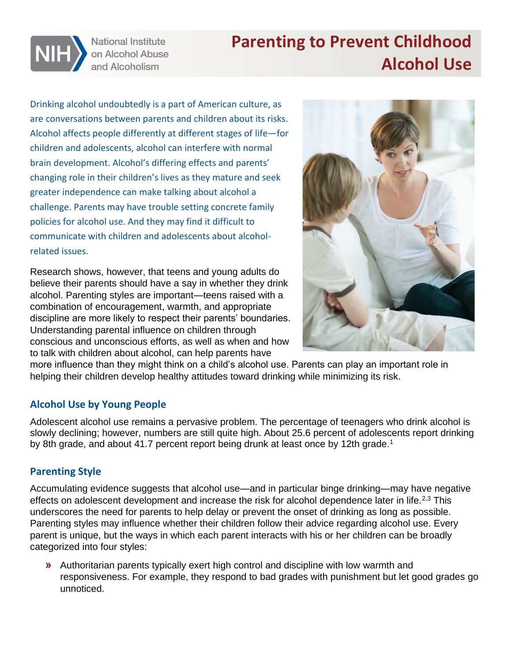

**National Institute** on Alcohol Abuse and Alcoholism

# **Parenting to Prevent Childhood Alcohol Use**

Drinking alcohol undoubtedly is a part of American culture, as are conversations between parents and children about its risks. Alcohol affects people differently at different stages of life—for children and adolescents, alcohol can interfere with normal brain development. Alcohol's differing effects and parents' changing role in their children's lives as they mature and seek greater independence can make talking about alcohol a challenge. Parents may have trouble setting concrete family policies for alcohol use. And they may find it difficult to communicate with children and adolescents about alcoholrelated issues.

Research shows, however, that teens and young adults do believe their parents should have a say in whether they drink alcohol. Parenting styles are important—teens raised with a combination of encouragement, warmth, and appropriate discipline are more likely to respect their parents' boundaries. Understanding parental influence on children through conscious and unconscious efforts, as well as when and how to talk with children about alcohol, can help parents have



more influence than they might think on a child's alcohol use. Parents can play an important role in helping their children develop healthy attitudes toward drinking while minimizing its risk.

#### **Alcohol Use by Young People**

Adolescent alcohol use remains a pervasive problem. The percentage of teenagers who drink alcohol is slowly declining; however, numbers are still quite high. About 25.6 percent of adolescents report drinking by 8th grade, and about 41.7 percent report being drunk at least once by 12th grade.<sup>1</sup>

## **Parenting Style**

Accumulating evidence suggests that alcohol use—and in particular binge drinking—may have negative effects on adolescent development and increase the risk for alcohol dependence later in life.<sup>2,3</sup> This underscores the need for parents to help delay or prevent the onset of drinking as long as possible. Parenting styles may influence whether their children follow their advice regarding alcohol use. Every parent is unique, but the ways in which each parent interacts with his or her children can be broadly categorized into four styles:

**»** Authoritarian parents typically exert high control and discipline with low warmth and responsiveness. For example, they respond to bad grades with punishment but let good grades go unnoticed.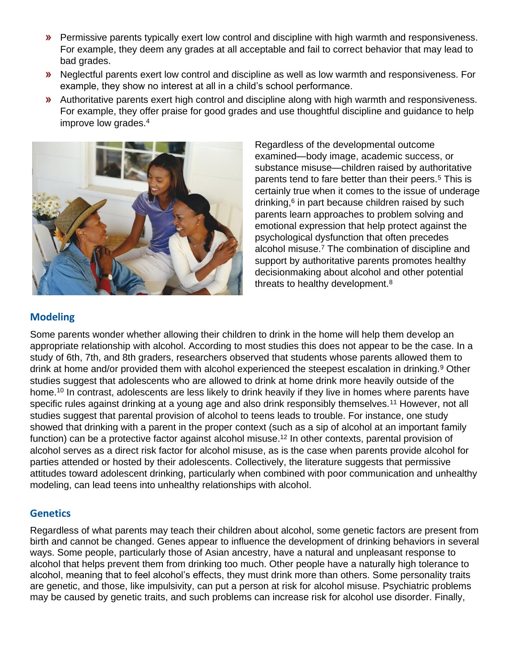- **»** Permissive parents typically exert low control and discipline with high warmth and responsiveness. For example, they deem any grades at all acceptable and fail to correct behavior that may lead to bad grades.
- **»** Neglectful parents exert low control and discipline as well as low warmth and responsiveness. For example, they show no interest at all in a child's school performance.
- **»** Authoritative parents exert high control and discipline along with high warmth and responsiveness. For example, they offer praise for good grades and use thoughtful discipline and guidance to help improve low grades.<sup>4</sup>



Regardless of the developmental outcome examined—body image, academic success, or substance misuse—children raised by authoritative parents tend to fare better than their peers.<sup>5</sup> This is certainly true when it comes to the issue of underage drinking,<sup>6</sup> in part because children raised by such parents learn approaches to problem solving and emotional expression that help protect against the psychological dysfunction that often precedes alcohol misuse.<sup>7</sup> The combination of discipline and support by authoritative parents promotes healthy decisionmaking about alcohol and other potential threats to healthy development.<sup>8</sup>

#### **Modeling**

Some parents wonder whether allowing their children to drink in the home will help them develop an appropriate relationship with alcohol. According to most studies this does not appear to be the case. In a study of 6th, 7th, and 8th graders, researchers observed that students whose parents allowed them to drink at home and/or provided them with alcohol experienced the steepest escalation in drinking.<sup>9</sup> Other studies suggest that adolescents who are allowed to drink at home drink more heavily outside of the home.<sup>10</sup> In contrast, adolescents are less likely to drink heavily if they live in homes where parents have specific rules against drinking at a young age and also drink responsibly themselves.<sup>11</sup> However, not all studies suggest that parental provision of alcohol to teens leads to trouble. For instance, one study showed that drinking with a parent in the proper context (such as a sip of alcohol at an important family function) can be a protective factor against alcohol misuse.<sup>12</sup> In other contexts, parental provision of alcohol serves as a direct risk factor for alcohol misuse, as is the case when parents provide alcohol for parties attended or hosted by their adolescents. Collectively, the literature suggests that permissive attitudes toward adolescent drinking, particularly when combined with poor communication and unhealthy modeling, can lead teens into unhealthy relationships with alcohol.

#### **Genetics**

Regardless of what parents may teach their children about alcohol, some genetic factors are present from birth and cannot be changed. Genes appear to influence the development of drinking behaviors in several ways. Some people, particularly those of Asian ancestry, have a natural and unpleasant response to alcohol that helps prevent them from drinking too much. Other people have a naturally high tolerance to alcohol, meaning that to feel alcohol's effects, they must drink more than others. Some personality traits are genetic, and those, like impulsivity, can put a person at risk for alcohol misuse. Psychiatric problems may be caused by genetic traits, and such problems can increase risk for alcohol use disorder. Finally,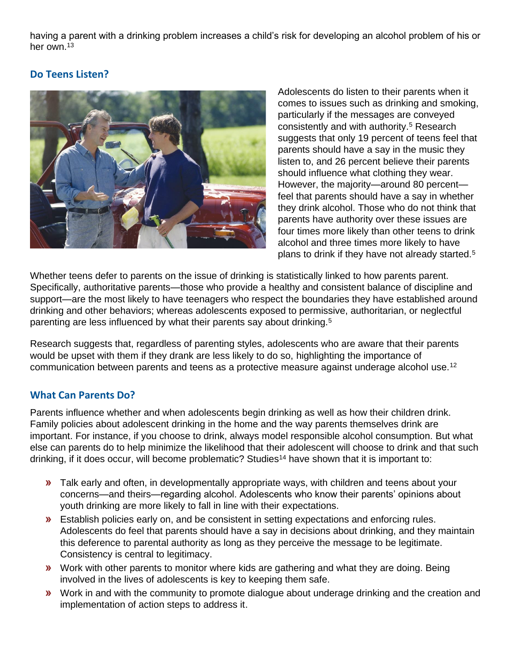having a parent with a drinking problem increases a child's risk for developing an alcohol problem of his or her own.<sup>13</sup>

### **Do Teens Listen?**



Adolescents do listen to their parents when it comes to issues such as drinking and smoking, particularly if the messages are conveyed consistently and with authority.<sup>5</sup> Research suggests that only 19 percent of teens feel that parents should have a say in the music they listen to, and 26 percent believe their parents should influence what clothing they wear. However, the majority—around 80 percent feel that parents should have a say in whether they drink alcohol. Those who do not think that parents have authority over these issues are four times more likely than other teens to drink alcohol and three times more likely to have plans to drink if they have not already started.<sup>5</sup>

Whether teens defer to parents on the issue of drinking is statistically linked to how parents parent. Specifically, authoritative parents—those who provide a healthy and consistent balance of discipline and support—are the most likely to have teenagers who respect the boundaries they have established around drinking and other behaviors; whereas adolescents exposed to permissive, authoritarian, or neglectful parenting are less influenced by what their parents say about drinking.<sup>5</sup>

Research suggests that, regardless of parenting styles, adolescents who are aware that their parents would be upset with them if they drank are less likely to do so, highlighting the importance of communication between parents and teens as a protective measure against underage alcohol use.<sup>12</sup>

#### **What Can Parents Do?**

Parents influence whether and when adolescents begin drinking as well as how their children drink. Family policies about adolescent drinking in the home and the way parents themselves drink are important. For instance, if you choose to drink, always model responsible alcohol consumption. But what else can parents do to help minimize the likelihood that their adolescent will choose to drink and that such drinking, if it does occur, will become problematic? Studies<sup>14</sup> have shown that it is important to:

- **»** Talk early and often, in developmentally appropriate ways, with children and teens about your concerns—and theirs—regarding alcohol. Adolescents who know their parents' opinions about youth drinking are more likely to fall in line with their expectations.
- **»** Establish policies early on, and be consistent in setting expectations and enforcing rules. Adolescents do feel that parents should have a say in decisions about drinking, and they maintain this deference to parental authority as long as they perceive the message to be legitimate. Consistency is central to legitimacy.
- **»** Work with other parents to monitor where kids are gathering and what they are doing. Being involved in the lives of adolescents is key to keeping them safe.
- **»** Work in and with the community to promote dialogue about underage drinking and the creation and implementation of action steps to address it.